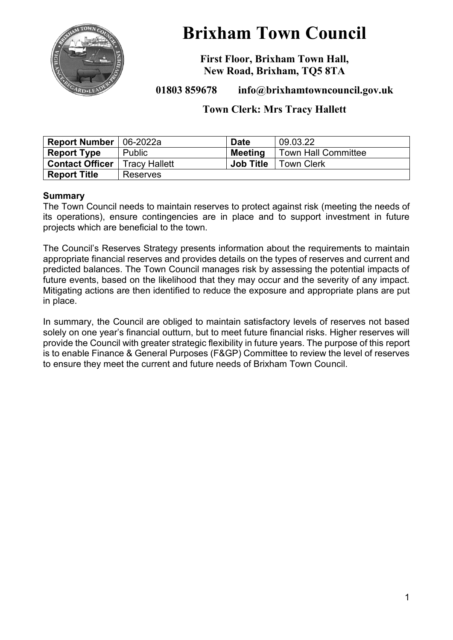

# **Brixham Town Council**

**First Floor, Brixham Town Hall, New Road, Brixham, TQ5 8TA**

**01803 859678 info@brixhamtowncouncil.gov.uk**

# **Town Clerk: Mrs Tracy Hallett**

| Report Number   06-2022a |                      | <b>Date</b>      | 09.03.22                   |
|--------------------------|----------------------|------------------|----------------------------|
| <b>Report Type</b>       | <b>Public</b>        | <b>Meeting</b>   | <b>Town Hall Committee</b> |
| <b>Contact Officer</b>   | <b>Tracy Hallett</b> | <b>Job Title</b> | <b>Town Clerk</b>          |
| <b>Report Title</b>      | Reserves             |                  |                            |

#### **Summary**

The Town Council needs to maintain reserves to protect against risk (meeting the needs of its operations), ensure contingencies are in place and to support investment in future projects which are beneficial to the town.

The Council's Reserves Strategy presents information about the requirements to maintain appropriate financial reserves and provides details on the types of reserves and current and predicted balances. The Town Council manages risk by assessing the potential impacts of future events, based on the likelihood that they may occur and the severity of any impact. Mitigating actions are then identified to reduce the exposure and appropriate plans are put in place.

In summary, the Council are obliged to maintain satisfactory levels of reserves not based solely on one year's financial outturn, but to meet future financial risks. Higher reserves will provide the Council with greater strategic flexibility in future years. The purpose of this report is to enable Finance & General Purposes (F&GP) Committee to review the level of reserves to ensure they meet the current and future needs of Brixham Town Council.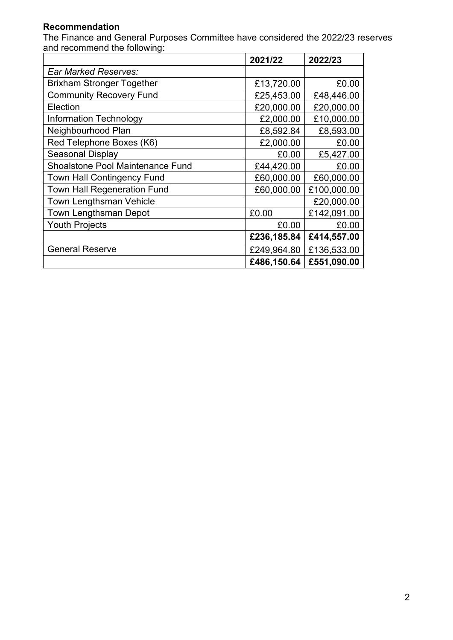# **Recommendation**

The Finance and General Purposes Committee have considered the 2022/23 reserves and recommend the following:

|                                         | 2021/22     | 2022/23     |
|-----------------------------------------|-------------|-------------|
| <b>Ear Marked Reserves:</b>             |             |             |
| <b>Brixham Stronger Together</b>        | £13,720.00  | £0.00       |
| <b>Community Recovery Fund</b>          | £25,453.00  | £48,446.00  |
| Election                                | £20,000.00  | £20,000.00  |
| <b>Information Technology</b>           | £2,000.00   | £10,000.00  |
| Neighbourhood Plan                      | £8,592.84   | £8,593.00   |
| Red Telephone Boxes (K6)                | £2,000.00   | £0.00       |
| Seasonal Display                        | £0.00       | £5,427.00   |
| <b>Shoalstone Pool Maintenance Fund</b> | £44,420.00  | £0.00       |
| Town Hall Contingency Fund              | £60,000.00  | £60,000.00  |
| <b>Town Hall Regeneration Fund</b>      | £60,000.00  | £100,000.00 |
| <b>Town Lengthsman Vehicle</b>          |             | £20,000.00  |
| <b>Town Lengthsman Depot</b>            | £0.00       | £142,091.00 |
| <b>Youth Projects</b>                   | £0.00       | £0.00       |
|                                         | £236,185.84 | £414,557.00 |
| <b>General Reserve</b>                  | £249,964.80 | £136,533.00 |
|                                         | £486,150.64 | £551,090.00 |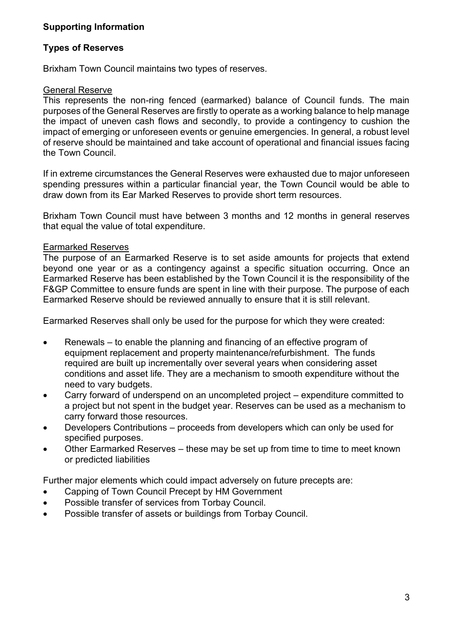## **Supporting Information**

### **Types of Reserves**

Brixham Town Council maintains two types of reserves.

#### General Reserve

This represents the non-ring fenced (earmarked) balance of Council funds. The main purposes of the General Reserves are firstly to operate as a working balance to help manage the impact of uneven cash flows and secondly, to provide a contingency to cushion the impact of emerging or unforeseen events or genuine emergencies. In general, a robust level of reserve should be maintained and take account of operational and financial issues facing the Town Council.

If in extreme circumstances the General Reserves were exhausted due to major unforeseen spending pressures within a particular financial year, the Town Council would be able to draw down from its Ear Marked Reserves to provide short term resources.

Brixham Town Council must have between 3 months and 12 months in general reserves that equal the value of total expenditure.

#### Earmarked Reserves

The purpose of an Earmarked Reserve is to set aside amounts for projects that extend beyond one year or as a contingency against a specific situation occurring. Once an Earmarked Reserve has been established by the Town Council it is the responsibility of the F&GP Committee to ensure funds are spent in line with their purpose. The purpose of each Earmarked Reserve should be reviewed annually to ensure that it is still relevant.

Earmarked Reserves shall only be used for the purpose for which they were created:

- Renewals to enable the planning and financing of an effective program of equipment replacement and property maintenance/refurbishment. The funds required are built up incrementally over several years when considering asset conditions and asset life. They are a mechanism to smooth expenditure without the need to vary budgets.
- Carry forward of underspend on an uncompleted project expenditure committed to a project but not spent in the budget year. Reserves can be used as a mechanism to carry forward those resources.
- Developers Contributions proceeds from developers which can only be used for specified purposes.
- Other Earmarked Reserves these may be set up from time to time to meet known or predicted liabilities

Further major elements which could impact adversely on future precepts are:

- Capping of Town Council Precept by HM Government
- Possible transfer of services from Torbay Council.
- Possible transfer of assets or buildings from Torbay Council.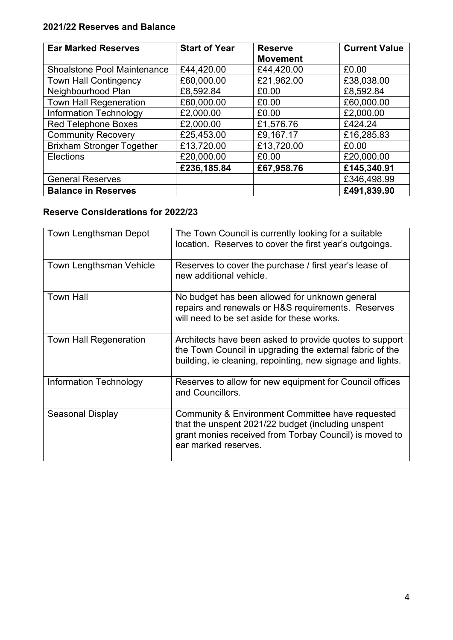# **2021/22 Reserves and Balance**

| <b>Ear Marked Reserves</b>         | <b>Start of Year</b> | <b>Reserve</b><br><b>Movement</b> | <b>Current Value</b> |
|------------------------------------|----------------------|-----------------------------------|----------------------|
| <b>Shoalstone Pool Maintenance</b> | £44,420.00           | £44,420.00                        | £0.00                |
| <b>Town Hall Contingency</b>       | £60,000.00           | £21,962.00                        | £38,038.00           |
| Neighbourhood Plan                 | £8,592.84            | £0.00                             | £8,592.84            |
| <b>Town Hall Regeneration</b>      | £60,000.00           | £0.00                             | £60,000.00           |
| Information Technology             | £2,000.00            | £0.00                             | £2,000.00            |
| <b>Red Telephone Boxes</b>         | £2,000.00            | £1,576.76                         | £424.24              |
| <b>Community Recovery</b>          | £25,453.00           | £9,167.17                         | £16,285.83           |
| <b>Brixham Stronger Together</b>   | £13,720.00           | £13,720.00                        | £0.00                |
| <b>Elections</b>                   | £20,000.00           | £0.00                             | £20,000.00           |
|                                    | £236,185.84          | £67,958.76                        | £145,340.91          |
| <b>General Reserves</b>            |                      |                                   | £346,498.99          |
| <b>Balance in Reserves</b>         |                      |                                   | £491,839.90          |

# **Reserve Considerations for 2022/23**

| Town Lengthsman Depot          | The Town Council is currently looking for a suitable<br>location. Reserves to cover the first year's outgoings.                                                                          |
|--------------------------------|------------------------------------------------------------------------------------------------------------------------------------------------------------------------------------------|
| <b>Town Lengthsman Vehicle</b> | Reserves to cover the purchase / first year's lease of<br>new additional vehicle.                                                                                                        |
| <b>Town Hall</b>               | No budget has been allowed for unknown general<br>repairs and renewals or H&S requirements. Reserves<br>will need to be set aside for these works.                                       |
| <b>Town Hall Regeneration</b>  | Architects have been asked to provide quotes to support<br>the Town Council in upgrading the external fabric of the<br>building, ie cleaning, repointing, new signage and lights.        |
| Information Technology         | Reserves to allow for new equipment for Council offices<br>and Councillors.                                                                                                              |
| Seasonal Display               | Community & Environment Committee have requested<br>that the unspent 2021/22 budget (including unspent<br>grant monies received from Torbay Council) is moved to<br>ear marked reserves. |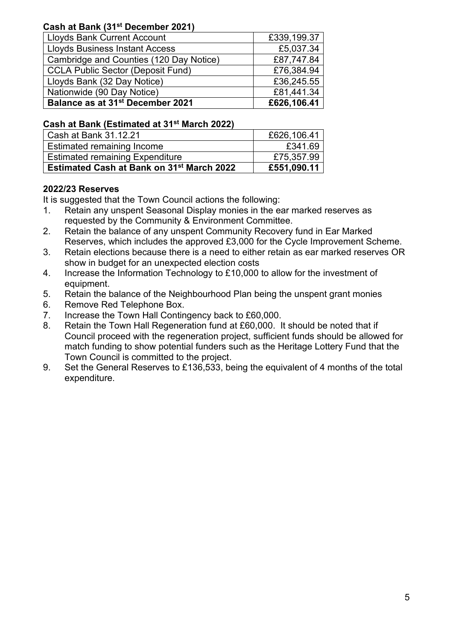## **Cash at Bank (31st December 2021)**

| Lloyds Bank Current Account                  | £339,199.37 |
|----------------------------------------------|-------------|
| Lloyds Business Instant Access               | £5,037.34   |
| Cambridge and Counties (120 Day Notice)      | £87,747.84  |
| CCLA Public Sector (Deposit Fund)            | £76,384.94  |
| Lloyds Bank (32 Day Notice)                  | £36,245.55  |
| Nationwide (90 Day Notice)                   | £81,441.34  |
| Balance as at 31 <sup>st</sup> December 2021 | £626,106.41 |

## **Cash at Bank (Estimated at 31st March 2022)**

| Cash at Bank 31.12.21                            | £626,106.41 |
|--------------------------------------------------|-------------|
| <b>Estimated remaining Income</b>                | £341.69     |
| <b>Estimated remaining Expenditure</b>           | £75,357.99  |
| <b>Estimated Cash at Bank on 31st March 2022</b> | £551,090.11 |

# **2022/23 Reserves**

It is suggested that the Town Council actions the following:

- 1. Retain any unspent Seasonal Display monies in the ear marked reserves as requested by the Community & Environment Committee.
- 2. Retain the balance of any unspent Community Recovery fund in Ear Marked Reserves, which includes the approved £3,000 for the Cycle Improvement Scheme.
- 3. Retain elections because there is a need to either retain as ear marked reserves OR show in budget for an unexpected election costs
- 4. Increase the Information Technology to £10,000 to allow for the investment of equipment.
- 5. Retain the balance of the Neighbourhood Plan being the unspent grant monies
- 6. Remove Red Telephone Box.
- 7. Increase the Town Hall Contingency back to £60,000.
- 8. Retain the Town Hall Regeneration fund at £60,000. It should be noted that if Council proceed with the regeneration project, sufficient funds should be allowed for match funding to show potential funders such as the Heritage Lottery Fund that the Town Council is committed to the project.
- 9. Set the General Reserves to £136,533, being the equivalent of 4 months of the total expenditure.